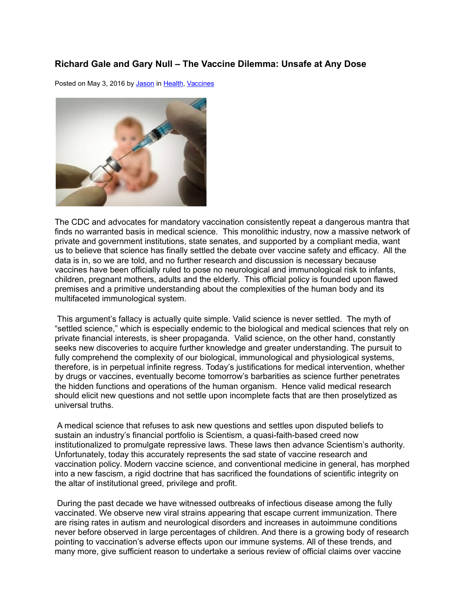## **Richard Gale and Gary Null – The Vaccine Dilemma: Unsafe at Any Dose**

Posted on May 3, 2016 by [Jason](http://prn.fm/author/jason/) in [Health,](http://prn.fm/category/articles/health/) [Vaccines](http://prn.fm/category/articles/vaccines/)



The CDC and advocates for mandatory vaccination consistently repeat a dangerous mantra that finds no warranted basis in medical science. This monolithic industry, now a massive network of private and government institutions, state senates, and supported by a compliant media, want us to believe that science has finally settled the debate over vaccine safety and efficacy. All the data is in, so we are told, and no further research and discussion is necessary because vaccines have been officially ruled to pose no neurological and immunological risk to infants, children, pregnant mothers, adults and the elderly. This official policy is founded upon flawed premises and a primitive understanding about the complexities of the human body and its multifaceted immunological system.

This argument's fallacy is actually quite simple. Valid science is never settled. The myth of "settled science," which is especially endemic to the biological and medical sciences that rely on private financial interests, is sheer propaganda. Valid science, on the other hand, constantly seeks new discoveries to acquire further knowledge and greater understanding. The pursuit to fully comprehend the complexity of our biological, immunological and physiological systems, therefore, is in perpetual infinite regress. Today's justifications for medical intervention, whether by drugs or vaccines, eventually become tomorrow's barbarities as science further penetrates the hidden functions and operations of the human organism. Hence valid medical research should elicit new questions and not settle upon incomplete facts that are then proselytized as universal truths.

A medical science that refuses to ask new questions and settles upon disputed beliefs to sustain an industry's financial portfolio is Scientism, a quasi-faith-based creed now institutionalized to promulgate repressive laws. These laws then advance Scientism's authority. Unfortunately, today this accurately represents the sad state of vaccine research and vaccination policy. Modern vaccine science, and conventional medicine in general, has morphed into a new fascism, a rigid doctrine that has sacrificed the foundations of scientific integrity on the altar of institutional greed, privilege and profit.

During the past decade we have witnessed outbreaks of infectious disease among the fully vaccinated. We observe new viral strains appearing that escape current immunization. There are rising rates in autism and neurological disorders and increases in autoimmune conditions never before observed in large percentages of children. And there is a growing body of research pointing to vaccination's adverse effects upon our immune systems. All of these trends, and many more, give sufficient reason to undertake a serious review of official claims over vaccine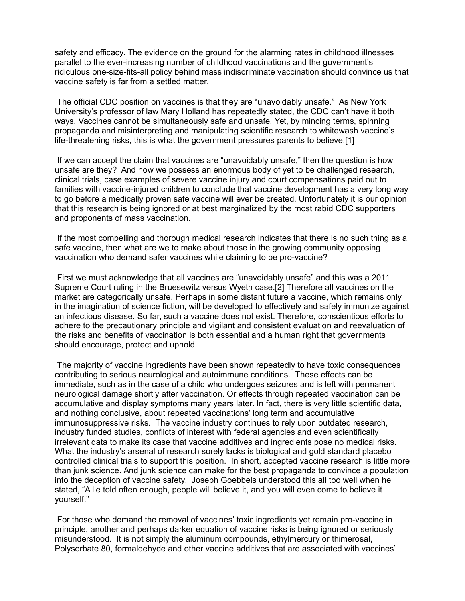safety and efficacy. The evidence on the ground for the alarming rates in childhood illnesses parallel to the ever-increasing number of childhood vaccinations and the government's ridiculous one-size-fits-all policy behind mass indiscriminate vaccination should convince us that vaccine safety is far from a settled matter.

The official CDC position on vaccines is that they are "unavoidably unsafe." As New York University's professor of law Mary Holland has repeatedly stated, the CDC can't have it both ways. Vaccines cannot be simultaneously safe and unsafe. Yet, by mincing terms, spinning propaganda and misinterpreting and manipulating scientific research to whitewash vaccine's life-threatening risks, this is what the government pressures parents to believe.[1]

If we can accept the claim that vaccines are "unavoidably unsafe," then the question is how unsafe are they? And now we possess an enormous body of yet to be challenged research, clinical trials, case examples of severe vaccine injury and court compensations paid out to families with vaccine-injured children to conclude that vaccine development has a very long way to go before a medically proven safe vaccine will ever be created. Unfortunately it is our opinion that this research is being ignored or at best marginalized by the most rabid CDC supporters and proponents of mass vaccination.

If the most compelling and thorough medical research indicates that there is no such thing as a safe vaccine, then what are we to make about those in the growing community opposing vaccination who demand safer vaccines while claiming to be pro-vaccine?

First we must acknowledge that all vaccines are "unavoidably unsafe" and this was a 2011 Supreme Court ruling in the Bruesewitz versus Wyeth case.[2] Therefore all vaccines on the market are categorically unsafe. Perhaps in some distant future a vaccine, which remains only in the imagination of science fiction, will be developed to effectively and safely immunize against an infectious disease. So far, such a vaccine does not exist. Therefore, conscientious efforts to adhere to the precautionary principle and vigilant and consistent evaluation and reevaluation of the risks and benefits of vaccination is both essential and a human right that governments should encourage, protect and uphold.

The majority of vaccine ingredients have been shown repeatedly to have toxic consequences contributing to serious neurological and autoimmune conditions. These effects can be immediate, such as in the case of a child who undergoes seizures and is left with permanent neurological damage shortly after vaccination. Or effects through repeated vaccination can be accumulative and display symptoms many years later. In fact, there is very little scientific data, and nothing conclusive, about repeated vaccinations' long term and accumulative immunosuppressive risks. The vaccine industry continues to rely upon outdated research, industry funded studies, conflicts of interest with federal agencies and even scientifically irrelevant data to make its case that vaccine additives and ingredients pose no medical risks. What the industry's arsenal of research sorely lacks is biological and gold standard placebo controlled clinical trials to support this position. In short, accepted vaccine research is little more than junk science. And junk science can make for the best propaganda to convince a population into the deception of vaccine safety. Joseph Goebbels understood this all too well when he stated, "A lie told often enough, people will believe it, and you will even come to believe it yourself."

For those who demand the removal of vaccines' toxic ingredients yet remain pro-vaccine in principle, another and perhaps darker equation of vaccine risks is being ignored or seriously misunderstood. It is not simply the aluminum compounds, ethylmercury or thimerosal, Polysorbate 80, formaldehyde and other vaccine additives that are associated with vaccines'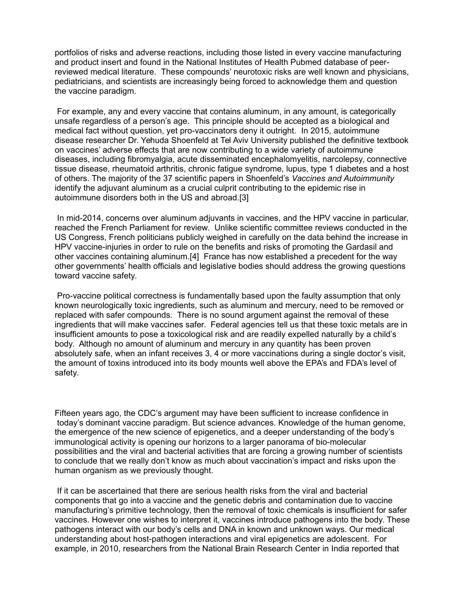portfolios of risks and adverse reactions, including those listed in every vaccine manufacturing and product insert and found in the National Institutes of Health Pubmed database of peerreviewed medical literature. These compounds' neurotoxic risks are well known and physicians. pediatricians, and scientists are increasingly being forced to acknowledge them and question the vaccine paradigm.

For example, any and every vaccine that contains aluminum, in any amount, is categorically unsafe regardless of a person's age. This principle should be accepted as a biological and medical fact without question, yet pro-vaccinators deny it outright. In 2015, autoimmune disease researcher Dr. Yehuda Shoenfeld at Tel Aviv University published the definitive textbook on vaccines' adverse effects that are now contributing to a wide variety of autoimmune diseases, including fibromyalgia, acute disseminated encephalomyelitis, narcolepsy, connective tissue disease, rheumatoid arthritis, chronic fatigue syndrome, lupus, type 1 diabetes and a host of others. The majority of the 37 scientific papers in Shoenfeld's *Vaccines and Autoimmunity* identify the adjuvant aluminum as a crucial culprit contributing to the epidemic rise in autoimmune disorders both in the US and abroad.[3]

In mid-2014, concerns over aluminum adjuvants in vaccines, and the HPV vaccine in particular, reached the French Parliament for review. Unlike scientific committee reviews conducted in the US Congress, French politicians publicly weighed in carefully on the data behind the increase in HPV vaccine-injuries in order to rule on the benefits and risks of promoting the Gardasil and other vaccines containing aluminum.[4] France has now established a precedent for the way other governments' health officials and legislative bodies should address the growing questions toward vaccine safety.

Pro-vaccine political correctness is fundamentally based upon the faulty assumption that only known neurologically toxic ingredients, such as aluminum and mercury, need to be removed or replaced with safer compounds. There is no sound argument against the removal of these ingredients that will make vaccines safer. Federal agencies tell us that these toxic metals are in insufficient amounts to pose a toxicological risk and are readily expelled naturally by a child's body. Although no amount of aluminum and mercury in any quantity has been proven absolutely safe, when an infant receives 3, 4 or more vaccinations during a single doctor's visit, the amount of toxins introduced into its body mounts well above the EPA's and FDA's level of safety.

Fifteen years ago, the CDC's argument may have been sufficient to increase confidence in today's dominant vaccine paradigm. But science advances. Knowledge of the human genome, the emergence of the new science of epigenetics, and a deeper understanding of the body's immunological activity is opening our horizons to a larger panorama of bio-molecular possibilities and the viral and bacterial activities that are forcing a growing number of scientists to conclude that we really don't know as much about vaccination's impact and risks upon the human organism as we previously thought.

If it can be ascertained that there are serious health risks from the viral and bacterial components that go into a vaccine and the genetic debris and contamination due to vaccine manufacturing's primitive technology, then the removal of toxic chemicals is insufficient for safer vaccines. However one wishes to interpret it, vaccines introduce pathogens into the body. These pathogens interact with our body's cells and DNA in known and unknown ways. Our medical understanding about host-pathogen interactions and viral epigenetics are adolescent. For example, in 2010, researchers from the National Brain Research Center in India reported that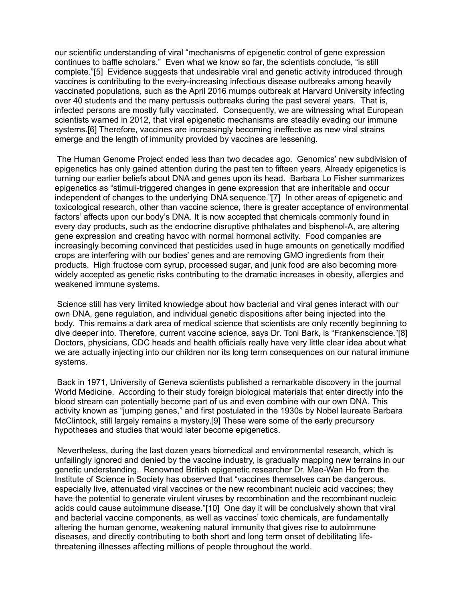our scientific understanding of viral "mechanisms of epigenetic control of gene expression continues to baffle scholars." Even what we know so far, the scientists conclude, "is still complete."[5] Evidence suggests that undesirable viral and genetic activity introduced through vaccines is contributing to the every-increasing infectious disease outbreaks among heavily vaccinated populations, such as the April 2016 mumps outbreak at Harvard University infecting over 40 students and the many pertussis outbreaks during the past several years. That is, infected persons are mostly fully vaccinated. Consequently, we are witnessing what European scientists warned in 2012, that viral epigenetic mechanisms are steadily evading our immune systems.[6] Therefore, vaccines are increasingly becoming ineffective as new viral strains emerge and the length of immunity provided by vaccines are lessening.

The Human Genome Project ended less than two decades ago. Genomics' new subdivision of epigenetics has only gained attention during the past ten to fifteen years. Already epigenetics is turning our earlier beliefs about DNA and genes upon its head. Barbara Lo Fisher summarizes epigenetics as "stimuli-triggered changes in gene expression that are inheritable and occur independent of changes to the underlying DNA sequence."[7] In other areas of epigenetic and toxicological research, other than vaccine science, there is greater acceptance of environmental factors' affects upon our body's DNA. It is now accepted that chemicals commonly found in every day products, such as the endocrine disruptive phthalates and bisphenol-A, are altering gene expression and creating havoc with normal hormonal activity. Food companies are increasingly becoming convinced that pesticides used in huge amounts on genetically modified crops are interfering with our bodies' genes and are removing GMO ingredients from their products. High fructose corn syrup, processed sugar, and junk food are also becoming more widely accepted as genetic risks contributing to the dramatic increases in obesity, allergies and weakened immune systems.

Science still has very limited knowledge about how bacterial and viral genes interact with our own DNA, gene regulation, and individual genetic dispositions after being injected into the body. This remains a dark area of medical science that scientists are only recently beginning to dive deeper into. Therefore, current vaccine science, says Dr. Toni Bark, is "Frankenscience."[8] Doctors, physicians, CDC heads and health officials really have very little clear idea about what we are actually injecting into our children nor its long term consequences on our natural immune systems.

Back in 1971, University of Geneva scientists published a remarkable discovery in the journal World Medicine. According to their study foreign biological materials that enter directly into the blood stream can potentially become part of us and even combine with our own DNA. This activity known as "jumping genes," and first postulated in the 1930s by Nobel laureate Barbara McClintock, still largely remains a mystery.[9] These were some of the early precursory hypotheses and studies that would later become epigenetics.

Nevertheless, during the last dozen years biomedical and environmental research, which is unfailingly ignored and denied by the vaccine industry, is gradually mapping new terrains in our genetic understanding. Renowned British epigenetic researcher Dr. Mae-Wan Ho from the Institute of Science in Society has observed that "vaccines themselves can be dangerous, especially live, attenuated viral vaccines or the new recombinant nucleic acid vaccines; they have the potential to generate virulent viruses by recombination and the recombinant nucleic acids could cause autoimmune disease."[10] One day it will be conclusively shown that viral and bacterial vaccine components, as well as vaccines' toxic chemicals, are fundamentally altering the human genome, weakening natural immunity that gives rise to autoimmune diseases, and directly contributing to both short and long term onset of debilitating lifethreatening illnesses affecting millions of people throughout the world.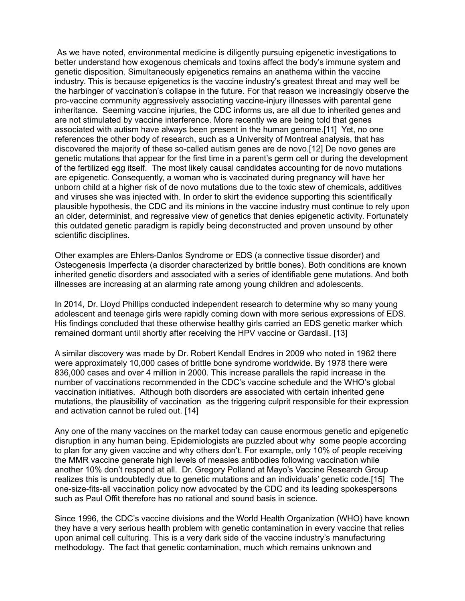As we have noted, environmental medicine is diligently pursuing epigenetic investigations to better understand how exogenous chemicals and toxins affect the body's immune system and genetic disposition. Simultaneously epigenetics remains an anathema within the vaccine industry. This is because epigenetics is the vaccine industry's greatest threat and may well be the harbinger of vaccination's collapse in the future. For that reason we increasingly observe the pro-vaccine community aggressively associating vaccine-injury illnesses with parental gene inheritance. Seeming vaccine injuries, the CDC informs us, are all due to inherited genes and are not stimulated by vaccine interference. More recently we are being told that genes associated with autism have always been present in the human genome.[11] Yet, no one references the other body of research, such as a University of Montreal analysis, that has discovered the majority of these so-called autism genes are de novo.[12] De novo genes are genetic mutations that appear for the first time in a parent's germ cell or during the development of the fertilized egg itself. The most likely causal candidates accounting for de novo mutations are epigenetic. Consequently, a woman who is vaccinated during pregnancy will have her unborn child at a higher risk of de novo mutations due to the toxic stew of chemicals, additives and viruses she was injected with. In order to skirt the evidence supporting this scientifically plausible hypothesis, the CDC and its minions in the vaccine industry must continue to rely upon an older, determinist, and regressive view of genetics that denies epigenetic activity. Fortunately this outdated genetic paradigm is rapidly being deconstructed and proven unsound by other scientific disciplines.

Other examples are Ehlers-Danlos Syndrome or EDS (a connective tissue disorder) and Osteogenesis Imperfecta (a disorder characterized by brittle bones). Both conditions are known inherited genetic disorders and associated with a series of identifiable gene mutations. And both illnesses are increasing at an alarming rate among young children and adolescents.

In 2014, Dr. Lloyd Phillips conducted independent research to determine why so many young adolescent and teenage girls were rapidly coming down with more serious expressions of EDS. His findings concluded that these otherwise healthy girls carried an EDS genetic marker which remained dormant until shortly after receiving the HPV vaccine or Gardasil. [13]

A similar discovery was made by Dr. Robert Kendall Endres in 2009 who noted in 1962 there were approximately 10,000 cases of brittle bone syndrome worldwide. By 1978 there were 836,000 cases and over 4 million in 2000. This increase parallels the rapid increase in the number of vaccinations recommended in the CDC's vaccine schedule and the WHO's global vaccination initiatives. Although both disorders are associated with certain inherited gene mutations, the plausibility of vaccination as the triggering culprit responsible for their expression and activation cannot be ruled out. [14]

Any one of the many vaccines on the market today can cause enormous genetic and epigenetic disruption in any human being. Epidemiologists are puzzled about why some people according to plan for any given vaccine and why others don't. For example, only 10% of people receiving the MMR vaccine generate high levels of measles antibodies following vaccination while another 10% don't respond at all. Dr. Gregory Polland at Mayo's Vaccine Research Group realizes this is undoubtedly due to genetic mutations and an individuals' genetic code.[15] The one-size-fits-all vaccination policy now advocated by the CDC and its leading spokespersons such as Paul Offit therefore has no rational and sound basis in science.

Since 1996, the CDC's vaccine divisions and the World Health Organization (WHO) have known they have a very serious health problem with genetic contamination in every vaccine that relies upon animal cell culturing. This is a very dark side of the vaccine industry's manufacturing methodology. The fact that genetic contamination, much which remains unknown and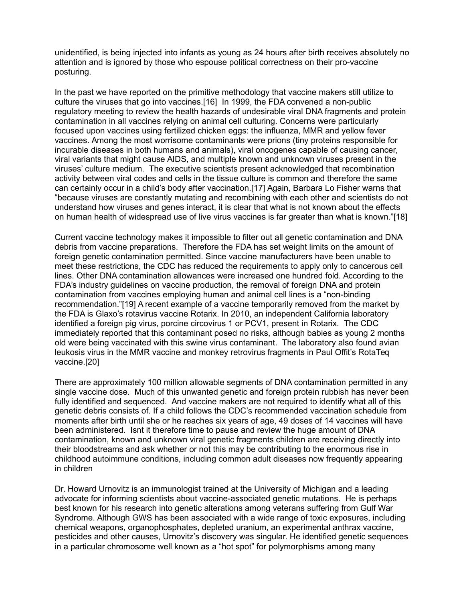unidentified, is being injected into infants as young as 24 hours after birth receives absolutely no attention and is ignored by those who espouse political correctness on their pro-vaccine posturing.

In the past we have reported on the primitive methodology that vaccine makers still utilize to culture the viruses that go into vaccines.[16] In 1999, the FDA convened a non-public regulatory meeting to review the health hazards of undesirable viral DNA fragments and protein contamination in all vaccines relying on animal cell culturing. Concerns were particularly focused upon vaccines using fertilized chicken eggs: the influenza, MMR and yellow fever vaccines. Among the most worrisome contaminants were prions (tiny proteins responsible for incurable diseases in both humans and animals), viral oncogenes capable of causing cancer, viral variants that might cause AIDS, and multiple known and unknown viruses present in the viruses' culture medium. The executive scientists present acknowledged that recombination activity between viral codes and cells in the tissue culture is common and therefore the same can certainly occur in a child's body after vaccination.[17] Again, Barbara Lo Fisher warns that "because viruses are constantly mutating and recombining with each other and scientists do not understand how viruses and genes interact, it is clear that what is not known about the effects on human health of widespread use of live virus vaccines is far greater than what is known."[18]

Current vaccine technology makes it impossible to filter out all genetic contamination and DNA debris from vaccine preparations. Therefore the FDA has set weight limits on the amount of foreign genetic contamination permitted. Since vaccine manufacturers have been unable to meet these restrictions, the CDC has reduced the requirements to apply only to cancerous cell lines. Other DNA contamination allowances were increased one hundred fold. According to the FDA's industry guidelines on vaccine production, the removal of foreign DNA and protein contamination from vaccines employing human and animal cell lines is a "non-binding recommendation."[19] A recent example of a vaccine temporarily removed from the market by the FDA is Glaxo's rotavirus vaccine Rotarix. In 2010, an independent California laboratory identified a foreign pig virus, porcine circovirus 1 or PCV1, present in Rotarix. The CDC immediately reported that this contaminant posed no risks, although babies as young 2 months old were being vaccinated with this swine virus contaminant. The laboratory also found avian leukosis virus in the MMR vaccine and monkey retrovirus fragments in Paul Offit's RotaTeq vaccine.[20]

There are approximately 100 million allowable segments of DNA contamination permitted in any single vaccine dose. Much of this unwanted genetic and foreign protein rubbish has never been fully identified and sequenced. And vaccine makers are not required to identify what all of this genetic debris consists of. If a child follows the CDC's recommended vaccination schedule from moments after birth until she or he reaches six years of age, 49 doses of 14 vaccines will have been administered. Isnt it therefore time to pause and review the huge amount of DNA contamination, known and unknown viral genetic fragments children are receiving directly into their bloodstreams and ask whether or not this may be contributing to the enormous rise in childhood autoimmune conditions, including common adult diseases now frequently appearing in children

Dr. Howard Urnovitz is an immunologist trained at the University of Michigan and a leading advocate for informing scientists about vaccine-associated genetic mutations. He is perhaps best known for his research into genetic alterations among veterans suffering from Gulf War Syndrome. Although GWS has been associated with a wide range of toxic exposures, including chemical weapons, organophosphates, depleted uranium, an experimental anthrax vaccine, pesticides and other causes, Urnovitz's discovery was singular. He identified genetic sequences in a particular chromosome well known as a "hot spot" for polymorphisms among many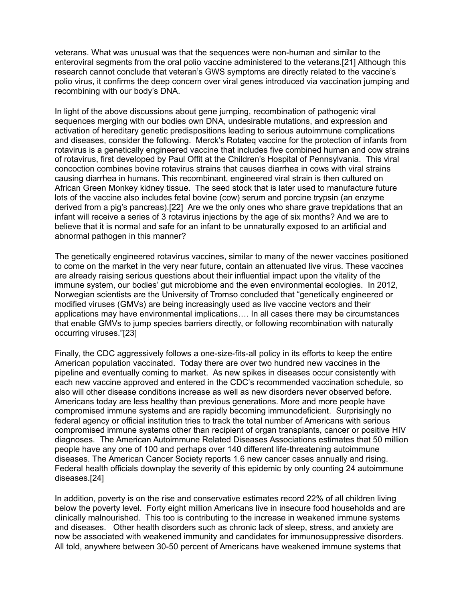veterans. What was unusual was that the sequences were non-human and similar to the enteroviral segments from the oral polio vaccine administered to the veterans.[21] Although this research cannot conclude that veteran's GWS symptoms are directly related to the vaccine's polio virus, it confirms the deep concern over viral genes introduced via vaccination jumping and recombining with our body's DNA.

In light of the above discussions about gene jumping, recombination of pathogenic viral sequences merging with our bodies own DNA, undesirable mutations, and expression and activation of hereditary genetic predispositions leading to serious autoimmune complications and diseases, consider the following. Merck's Rotateq vaccine for the protection of infants from rotavirus is a genetically engineered vaccine that includes five combined human and cow strains of rotavirus, first developed by Paul Offit at the Children's Hospital of Pennsylvania. This viral concoction combines bovine rotavirus strains that causes diarrhea in cows with viral strains causing diarrhea in humans. This recombinant, engineered viral strain is then cultured on African Green Monkey kidney tissue. The seed stock that is later used to manufacture future lots of the vaccine also includes fetal bovine (cow) serum and porcine trypsin (an enzyme derived from a pig's pancreas).[22] Are we the only ones who share grave trepidations that an infant will receive a series of 3 rotavirus injections by the age of six months? And we are to believe that it is normal and safe for an infant to be unnaturally exposed to an artificial and abnormal pathogen in this manner?

The genetically engineered rotavirus vaccines, similar to many of the newer vaccines positioned to come on the market in the very near future, contain an attenuated live virus. These vaccines are already raising serious questions about their influential impact upon the vitality of the immune system, our bodies' gut microbiome and the even environmental ecologies. In 2012, Norwegian scientists are the University of Tromso concluded that "genetically engineered or modified viruses (GMVs) are being increasingly used as live vaccine vectors and their applications may have environmental implications…. In all cases there may be circumstances that enable GMVs to jump species barriers directly, or following recombination with naturally occurring viruses."[23]

Finally, the CDC aggressively follows a one-size-fits-all policy in its efforts to keep the entire American population vaccinated. Today there are over two hundred new vaccines in the pipeline and eventually coming to market. As new spikes in diseases occur consistently with each new vaccine approved and entered in the CDC's recommended vaccination schedule, so also will other disease conditions increase as well as new disorders never observed before. Americans today are less healthy than previous generations. More and more people have compromised immune systems and are rapidly becoming immunodeficient. Surprisingly no federal agency or official institution tries to track the total number of Americans with serious compromised immune systems other than recipient of organ transplants, cancer or positive HIV diagnoses. The American Autoimmune Related Diseases Associations estimates that 50 million people have any one of 100 and perhaps over 140 different life-threatening autoimmune diseases. The American Cancer Society reports 1.6 new cancer cases annually and rising. Federal health officials downplay the severity of this epidemic by only counting 24 autoimmune diseases.[24]

In addition, poverty is on the rise and conservative estimates record 22% of all children living below the poverty level. Forty eight million Americans live in insecure food households and are clinically malnourished. This too is contributing to the increase in weakened immune systems and diseases. Other health disorders such as chronic lack of sleep, stress, and anxiety are now be associated with weakened immunity and candidates for immunosuppressive disorders. All told, anywhere between 30-50 percent of Americans have weakened immune systems that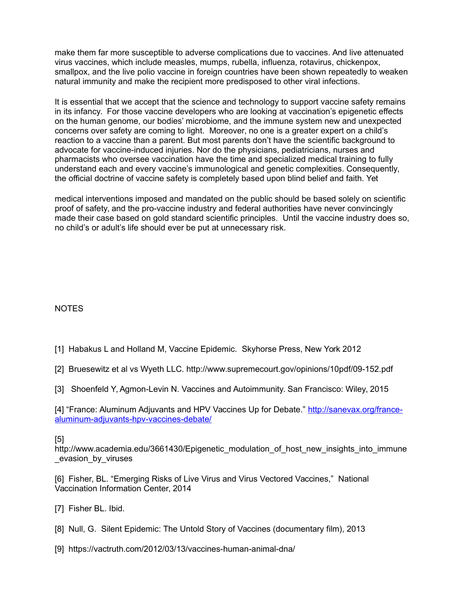make them far more susceptible to adverse complications due to vaccines. And live attenuated virus vaccines, which include measles, mumps, rubella, influenza, rotavirus, chickenpox, smallpox, and the live polio vaccine in foreign countries have been shown repeatedly to weaken natural immunity and make the recipient more predisposed to other viral infections.

It is essential that we accept that the science and technology to support vaccine safety remains in its infancy. For those vaccine developers who are looking at vaccination's epigenetic effects on the human genome, our bodies' microbiome, and the immune system new and unexpected concerns over safety are coming to light. Moreover, no one is a greater expert on a child's reaction to a vaccine than a parent. But most parents don't have the scientific background to advocate for vaccine-induced injuries. Nor do the physicians, pediatricians, nurses and pharmacists who oversee vaccination have the time and specialized medical training to fully understand each and every vaccine's immunological and genetic complexities. Consequently, the official doctrine of vaccine safety is completely based upon blind belief and faith. Yet

medical interventions imposed and mandated on the public should be based solely on scientific proof of safety, and the pro-vaccine industry and federal authorities have never convincingly made their case based on gold standard scientific principles. Until the vaccine industry does so, no child's or adult's life should ever be put at unnecessary risk.

## NOTES

- [1] Habakus L and Holland M, Vaccine Epidemic. Skyhorse Press, New York 2012
- [2] Bruesewitz et al vs Wyeth LLC. http://www.supremecourt.gov/opinions/10pdf/09-152.pdf
- [3] Shoenfeld Y, Agmon-Levin N. Vaccines and Autoimmunity. San Francisco: Wiley, 2015

[4] "France: Aluminum Adjuvants and HPV Vaccines Up for Debate." [http://sanevax.org/france](http://sanevax.org/france-aluminum-adjuvants-hpv-vaccines-debate/)[aluminum-adjuvants-hpv-vaccines-debate/](http://sanevax.org/france-aluminum-adjuvants-hpv-vaccines-debate/)

## [5]

http://www.academia.edu/3661430/Epigenetic\_modulation\_of\_host\_new\_insights\_into\_immune evasion by viruses

[6] Fisher, BL. "Emerging Risks of Live Virus and Virus Vectored Vaccines," National Vaccination Information Center, 2014

- [7] Fisher BL. Ibid.
- [8] Null, G. Silent Epidemic: The Untold Story of Vaccines (documentary film), 2013
- [9] https://vactruth.com/2012/03/13/vaccines-human-animal-dna/